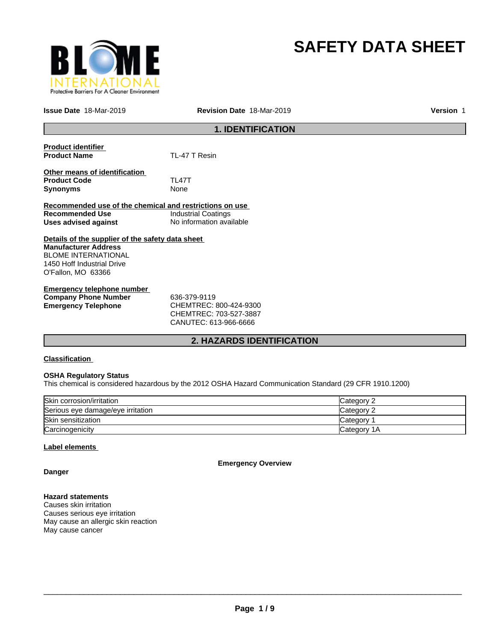

# **SAFETY DATA SHEET**

**Issue Date** 18-Mar-2019

**Revision Date** 18-Mar-2019 **Version** 1

# **1. IDENTIFICATION**

| <b>Product identifier</b><br><b>Product Name</b>                                                                                                                  | TL-47 T Resin              |
|-------------------------------------------------------------------------------------------------------------------------------------------------------------------|----------------------------|
| Other means of identification<br><b>Product Code</b><br><b>Synonyms</b>                                                                                           | TI 47T<br>None             |
| Recommended use of the chemical and restrictions on use                                                                                                           |                            |
| Recommended Use                                                                                                                                                   | <b>Industrial Coatings</b> |
| Uses advised against                                                                                                                                              | No information available   |
| Details of the supplier of the safety data sheet<br><b>Manufacturer Address</b><br><b>BLOME INTERNATIONAL</b><br>1450 Hoff Industrial Drive<br>O'Fallon, MO 63366 |                            |
| Emergency telephone number                                                                                                                                        |                            |
| <b>Company Phone Number</b>                                                                                                                                       | 636-379-9119               |

**Emergency Telephone** CHEMTREC: 800-424-9300 CHEMTREC: 703-527-3887 CANUTEC: 613-966-6666

# **2. HAZARDS IDENTIFICATION**

#### **Classification**

#### **OSHA Regulatory Status**

This chemical is considered hazardous by the 2012 OSHA Hazard Communication Standard (29 CFR 1910.1200)

| Skin corrosion/irritation         | <b>Category 2</b> |
|-----------------------------------|-------------------|
| Serious eye damage/eye irritation | Category 2        |
| Skin sensitization                | Category          |
| Carcinogenicity                   | Category 1A       |

#### **Label elements**

**Emergency Overview**

**Danger**

#### **Hazard statements**

Causes skin irritation Causes serious eye irritation May cause an allergic skin reaction May cause cancer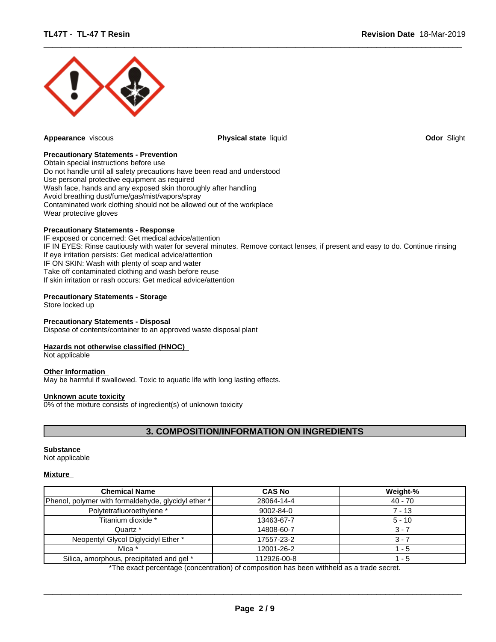

**Appearance** viscous **Physical state** liquid **Odor** Slight

 $\overline{\phantom{a}}$  ,  $\overline{\phantom{a}}$  ,  $\overline{\phantom{a}}$  ,  $\overline{\phantom{a}}$  ,  $\overline{\phantom{a}}$  ,  $\overline{\phantom{a}}$  ,  $\overline{\phantom{a}}$  ,  $\overline{\phantom{a}}$  ,  $\overline{\phantom{a}}$  ,  $\overline{\phantom{a}}$  ,  $\overline{\phantom{a}}$  ,  $\overline{\phantom{a}}$  ,  $\overline{\phantom{a}}$  ,  $\overline{\phantom{a}}$  ,  $\overline{\phantom{a}}$  ,  $\overline{\phantom{a}}$ 

#### **Precautionary Statements - Prevention**

Obtain special instructions before use Do not handle until all safety precautions have been read and understood Use personal protective equipment as required Wash face, hands and any exposed skin thoroughly after handling Avoid breathing dust/fume/gas/mist/vapors/spray Contaminated work clothing should not be allowed out of the workplace Wear protective gloves

#### **Precautionary Statements - Response**

IF exposed or concerned: Get medical advice/attention IF IN EYES: Rinse cautiously with water for several minutes. Remove contact lenses, if present and easy to do. Continue rinsing If eye irritation persists: Get medical advice/attention IF ON SKIN: Wash with plenty of soap and water Take off contaminated clothing and wash before reuse If skin irritation or rash occurs: Get medical advice/attention

#### **Precautionary Statements - Storage**

Store locked up

#### **Precautionary Statements - Disposal**

Dispose of contents/container to an approved waste disposal plant

#### **Hazards not otherwise classified (HNOC)**

Not applicable

#### **Other Information**

May be harmful if swallowed. Toxic to aquatic life with long lasting effects.

#### **Unknown acute toxicity**

0% of the mixture consists of ingredient(s) of unknown toxicity

# **3. COMPOSITION/INFORMATION ON INGREDIENTS**

#### **Substance**

Not applicable

#### **Mixture**

| <b>Chemical Name</b>                                | <b>CAS No</b>   | Weight-%  |
|-----------------------------------------------------|-----------------|-----------|
| Phenol, polymer with formaldehyde, glycidyl ether * | 28064-14-4      | $40 - 70$ |
| Polytetrafluoroethylene *                           | $9002 - 84 - 0$ | 7 - 13    |
| Titanium dioxide *                                  | 13463-67-7      | $5 - 10$  |
| Quartz *                                            | 14808-60-7      | 3 - 7     |
| Neopentyl Glycol Diglycidyl Ether *                 | 17557-23-2      | 3 - 7     |
| Mica *                                              | 12001-26-2      | - 5       |
| Silica, amorphous, precipitated and gel *           | 112926-00-8     | $-5$      |

\*The exact percentage (concentration) of composition has been withheld as a trade secret.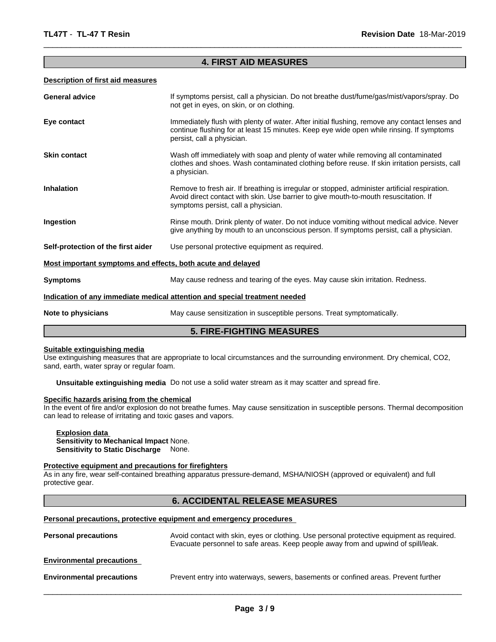### **4. FIRST AID MEASURES**

 $\overline{\phantom{a}}$  ,  $\overline{\phantom{a}}$  ,  $\overline{\phantom{a}}$  ,  $\overline{\phantom{a}}$  ,  $\overline{\phantom{a}}$  ,  $\overline{\phantom{a}}$  ,  $\overline{\phantom{a}}$  ,  $\overline{\phantom{a}}$  ,  $\overline{\phantom{a}}$  ,  $\overline{\phantom{a}}$  ,  $\overline{\phantom{a}}$  ,  $\overline{\phantom{a}}$  ,  $\overline{\phantom{a}}$  ,  $\overline{\phantom{a}}$  ,  $\overline{\phantom{a}}$  ,  $\overline{\phantom{a}}$ 

#### **Description of first aid measures**

| <b>General advice</b>                                                                        | If symptoms persist, call a physician. Do not breathe dust/fume/gas/mist/vapors/spray. Do<br>not get in eyes, on skin, or on clothing.                                                                                       |  |
|----------------------------------------------------------------------------------------------|------------------------------------------------------------------------------------------------------------------------------------------------------------------------------------------------------------------------------|--|
| Eye contact                                                                                  | Immediately flush with plenty of water. After initial flushing, remove any contact lenses and<br>continue flushing for at least 15 minutes. Keep eye wide open while rinsing. If symptoms<br>persist, call a physician.      |  |
| <b>Skin contact</b>                                                                          | Wash off immediately with soap and plenty of water while removing all contaminated<br>clothes and shoes. Wash contaminated clothing before reuse. If skin irritation persists, call<br>a physician.                          |  |
| <b>Inhalation</b>                                                                            | Remove to fresh air. If breathing is irregular or stopped, administer artificial respiration.<br>Avoid direct contact with skin. Use barrier to give mouth-to-mouth resuscitation. If<br>symptoms persist, call a physician. |  |
| Ingestion                                                                                    | Rinse mouth. Drink plenty of water. Do not induce vomiting without medical advice. Never<br>give anything by mouth to an unconscious person. If symptoms persist, call a physician.                                          |  |
| Self-protection of the first aider                                                           | Use personal protective equipment as required.                                                                                                                                                                               |  |
|                                                                                              | Most important symptoms and effects, both acute and delayed                                                                                                                                                                  |  |
| <b>Symptoms</b>                                                                              | May cause redness and tearing of the eyes. May cause skin irritation. Redness.                                                                                                                                               |  |
|                                                                                              | Indication of any immediate medical attention and special treatment needed                                                                                                                                                   |  |
| May cause sensitization in susceptible persons. Treat symptomatically.<br>Note to physicians |                                                                                                                                                                                                                              |  |

# **5. FIRE-FIGHTING MEASURES**

#### **Suitable extinguishing media**

Use extinguishing measures that are appropriate to local circumstances and the surrounding environment. Dry chemical, CO2, sand, earth, water spray or regular foam.

**Unsuitable extinguishing media** Do not use a solid water stream as it may scatter and spread fire.

#### **Specific hazards arising from the chemical**

In the event of fire and/or explosion do not breathe fumes. May cause sensitization in susceptible persons. Thermal decomposition can lead to release of irritating and toxic gases and vapors.

#### **Explosion data Sensitivity to Mechanical Impact** None. **Sensitivity to Static Discharge** None.

#### **Protective equipment and precautions for firefighters**

As in any fire, wear self-contained breathing apparatus pressure-demand, MSHA/NIOSH (approved or equivalent) and full protective gear.

# **6. ACCIDENTAL RELEASE MEASURES**

#### **Personal precautions, protective equipment and emergency procedures**

| Avoid contact with skin, eyes or clothing. Use personal protective equipment as required.<br><b>Personal precautions</b><br>Evacuate personnel to safe areas. Keep people away from and upwind of spill/leak. |                                                                                    |
|---------------------------------------------------------------------------------------------------------------------------------------------------------------------------------------------------------------|------------------------------------------------------------------------------------|
| <b>Environmental precautions</b>                                                                                                                                                                              |                                                                                    |
| <b>Environmental precautions</b>                                                                                                                                                                              | Prevent entry into waterways, sewers, basements or confined areas. Prevent further |
|                                                                                                                                                                                                               |                                                                                    |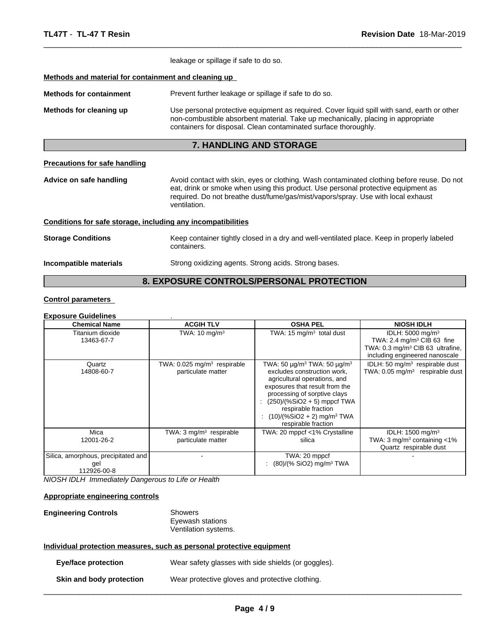|                                                              | leakage or spillage if safe to do so.                                                                                                                                                                                                                                               |  |  |  |
|--------------------------------------------------------------|-------------------------------------------------------------------------------------------------------------------------------------------------------------------------------------------------------------------------------------------------------------------------------------|--|--|--|
| Methods and material for containment and cleaning up         |                                                                                                                                                                                                                                                                                     |  |  |  |
| <b>Methods for containment</b>                               | Prevent further leakage or spillage if safe to do so.                                                                                                                                                                                                                               |  |  |  |
| Methods for cleaning up                                      | Use personal protective equipment as required. Cover liquid spill with sand, earth or other<br>non-combustible absorbent material. Take up mechanically, placing in appropriate<br>containers for disposal. Clean contaminated surface thoroughly.                                  |  |  |  |
|                                                              | <b>7. HANDLING AND STORAGE</b>                                                                                                                                                                                                                                                      |  |  |  |
| <b>Precautions for safe handling</b>                         |                                                                                                                                                                                                                                                                                     |  |  |  |
| Advice on safe handling                                      | Avoid contact with skin, eyes or clothing. Wash contaminated clothing before reuse. Do not<br>eat, drink or smoke when using this product. Use personal protective equipment as<br>required. Do not breathe dust/fume/gas/mist/vapors/spray. Use with local exhaust<br>ventilation. |  |  |  |
| Conditions for safe storage, including any incompatibilities |                                                                                                                                                                                                                                                                                     |  |  |  |
| <b>Storage Conditions</b>                                    | Keep container tightly closed in a dry and well-ventilated place. Keep in properly labeled<br>containers.                                                                                                                                                                           |  |  |  |
| Incompatible materials                                       | Strong oxidizing agents. Strong acids. Strong bases.                                                                                                                                                                                                                                |  |  |  |
|                                                              |                                                                                                                                                                                                                                                                                     |  |  |  |

 $\overline{\phantom{a}}$  ,  $\overline{\phantom{a}}$  ,  $\overline{\phantom{a}}$  ,  $\overline{\phantom{a}}$  ,  $\overline{\phantom{a}}$  ,  $\overline{\phantom{a}}$  ,  $\overline{\phantom{a}}$  ,  $\overline{\phantom{a}}$  ,  $\overline{\phantom{a}}$  ,  $\overline{\phantom{a}}$  ,  $\overline{\phantom{a}}$  ,  $\overline{\phantom{a}}$  ,  $\overline{\phantom{a}}$  ,  $\overline{\phantom{a}}$  ,  $\overline{\phantom{a}}$  ,  $\overline{\phantom{a}}$ 

# **8. EXPOSURE CONTROLS/PERSONAL PROTECTION**

### **Control parameters**

# **Exposure Guidelines** .

| <b>Chemical Name</b>                                      | <b>ACGIH TLV</b>                                              | <b>OSHA PEL</b>                                                                                                                                                                                                                                                                                                           | <b>NIOSH IDLH</b>                                                                                                                                        |
|-----------------------------------------------------------|---------------------------------------------------------------|---------------------------------------------------------------------------------------------------------------------------------------------------------------------------------------------------------------------------------------------------------------------------------------------------------------------------|----------------------------------------------------------------------------------------------------------------------------------------------------------|
| Titanium dioxide<br>13463-67-7                            | TWA: $10 \text{ mg/m}^3$                                      | TWA: 15 $mg/m3$ total dust                                                                                                                                                                                                                                                                                                | IDLH: 5000 mg/m <sup>3</sup><br>TWA: 2.4 mg/m <sup>3</sup> CIB 63 fine<br>TWA: 0.3 mg/m <sup>3</sup> CIB 63 ultrafine,<br>including engineered nanoscale |
| Quartz<br>14808-60-7                                      | TWA: 0.025 mg/m <sup>3</sup> respirable<br>particulate matter | TWA: 50 $\mu$ g/m <sup>3</sup> TWA: 50 $\mu$ g/m <sup>3</sup><br>excludes construction work,<br>agricultural operations, and<br>exposures that result from the<br>processing of sorptive clays<br>$(250)/(%SiO2 + 5)$ mppcf TWA<br>respirable fraction<br>$(10)/(%SiO2 + 2)$ mg/m <sup>3</sup> TWA<br>respirable fraction | IDLH: 50 mg/m <sup>3</sup> respirable dust<br>TWA: $0.05$ mg/m <sup>3</sup> respirable dust                                                              |
| Mica<br>12001-26-2                                        | TWA: $3 \text{ mg/m}^3$ respirable<br>particulate matter      | TWA: 20 mppcf <1% Crystalline<br>silica                                                                                                                                                                                                                                                                                   | IDLH: $1500$ mg/m <sup>3</sup><br>TWA: $3 \text{ mg/m}^3$ containing <1%<br>Quartz respirable dust                                                       |
| Silica, amorphous, precipitated and<br>gel<br>112926-00-8 |                                                               | TWA: 20 mppcf<br>: $(80)/(%$ SiO2) mg/m <sup>3</sup> TWA                                                                                                                                                                                                                                                                  |                                                                                                                                                          |

*NIOSH IDLH Immediately Dangerous to Life or Health*

#### **Appropriate engineering controls**

#### **Engineering Controls** Showers Eyewash stations Ventilation systems.

#### **Individual protection measures, such as personal protective equipment**

|                          | Eye/face protection | Wear safety glasses with side shields (or goggles). |
|--------------------------|---------------------|-----------------------------------------------------|
| Skin and body protection |                     | Wear protective gloves and protective clothing.     |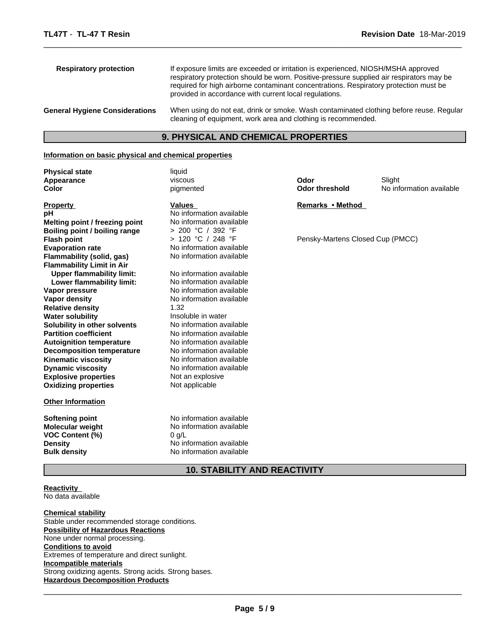| <b>Respiratory protection</b>         | If exposure limits are exceeded or irritation is experienced, NIOSH/MSHA approved<br>respiratory protection should be worn. Positive-pressure supplied air respirators may be<br>required for high airborne contaminant concentrations. Respiratory protection must be<br>provided in accordance with current local regulations. |
|---------------------------------------|----------------------------------------------------------------------------------------------------------------------------------------------------------------------------------------------------------------------------------------------------------------------------------------------------------------------------------|
| <b>General Hygiene Considerations</b> | When using do not eat, drink or smoke. Wash contaminated clothing before reuse. Regular<br>cleaning of equipment, work area and clothing is recommended.                                                                                                                                                                         |

 $\overline{\phantom{a}}$  ,  $\overline{\phantom{a}}$  ,  $\overline{\phantom{a}}$  ,  $\overline{\phantom{a}}$  ,  $\overline{\phantom{a}}$  ,  $\overline{\phantom{a}}$  ,  $\overline{\phantom{a}}$  ,  $\overline{\phantom{a}}$  ,  $\overline{\phantom{a}}$  ,  $\overline{\phantom{a}}$  ,  $\overline{\phantom{a}}$  ,  $\overline{\phantom{a}}$  ,  $\overline{\phantom{a}}$  ,  $\overline{\phantom{a}}$  ,  $\overline{\phantom{a}}$  ,  $\overline{\phantom{a}}$ 

# **9. PHYSICAL AND CHEMICAL PROPERTIES**

#### **Information on basic physical and chemical properties**

| <b>Physical state</b>            | liquid                   |                                  |                          |
|----------------------------------|--------------------------|----------------------------------|--------------------------|
| Appearance                       | viscous                  | Odor                             | Slight                   |
| Color                            | pigmented                | <b>Odor threshold</b>            | No information available |
| <b>Property</b>                  | <b>Values</b>            | Remarks • Method                 |                          |
| рH                               | No information available |                                  |                          |
| Melting point / freezing point   | No information available |                                  |                          |
| Boiling point / boiling range    | > 200 °C / 392 °F        |                                  |                          |
| <b>Flash point</b>               | > 120 °C / 248 °F        | Pensky-Martens Closed Cup (PMCC) |                          |
| <b>Evaporation rate</b>          | No information available |                                  |                          |
| Flammability (solid, gas)        | No information available |                                  |                          |
| <b>Flammability Limit in Air</b> |                          |                                  |                          |
| <b>Upper flammability limit:</b> | No information available |                                  |                          |
| Lower flammability limit:        | No information available |                                  |                          |
| Vapor pressure                   | No information available |                                  |                          |
| Vapor density                    | No information available |                                  |                          |
| <b>Relative density</b>          | 1.32                     |                                  |                          |
| <b>Water solubility</b>          | Insoluble in water       |                                  |                          |
| Solubility in other solvents     | No information available |                                  |                          |
| <b>Partition coefficient</b>     | No information available |                                  |                          |
| <b>Autoignition temperature</b>  | No information available |                                  |                          |
| <b>Decomposition temperature</b> | No information available |                                  |                          |
| <b>Kinematic viscosity</b>       | No information available |                                  |                          |
| <b>Dynamic viscosity</b>         | No information available |                                  |                          |
| <b>Explosive properties</b>      | Not an explosive         |                                  |                          |
| <b>Oxidizing properties</b>      | Not applicable           |                                  |                          |
| <b>Other Information</b>         |                          |                                  |                          |
| Softening point                  | No information available |                                  |                          |
| <b>Molecular weight</b>          | No information available |                                  |                          |
| VOC Content (%)                  | $0$ g/L                  |                                  |                          |
| <b>Density</b>                   | No information available |                                  |                          |
| <b>Bulk density</b>              | No information available |                                  |                          |
|                                  |                          |                                  |                          |

# **10. STABILITY AND REACTIVITY**

**Reactivity**  No data available

**Chemical stability** Stable under recommended storage conditions. **Possibility of Hazardous Reactions** None under normal processing. **Conditions to avoid** Extremes of temperature and direct sunlight. **Incompatible materials** Strong oxidizing agents. Strong acids. Strong bases. **Hazardous Decomposition Products**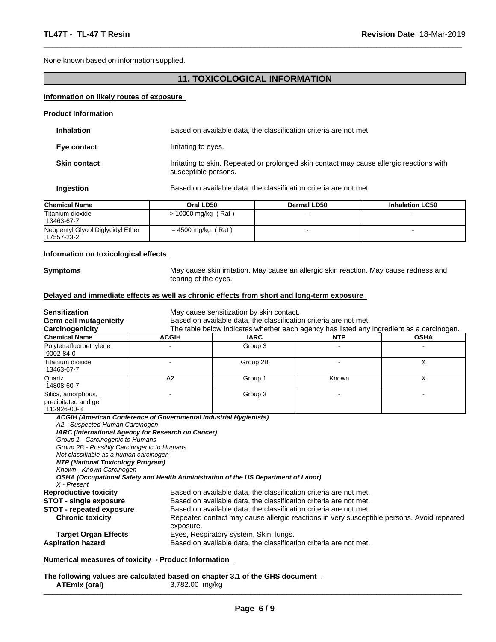None known based on information supplied.

## **11. TOXICOLOGICAL INFORMATION**

 $\overline{\phantom{a}}$  ,  $\overline{\phantom{a}}$  ,  $\overline{\phantom{a}}$  ,  $\overline{\phantom{a}}$  ,  $\overline{\phantom{a}}$  ,  $\overline{\phantom{a}}$  ,  $\overline{\phantom{a}}$  ,  $\overline{\phantom{a}}$  ,  $\overline{\phantom{a}}$  ,  $\overline{\phantom{a}}$  ,  $\overline{\phantom{a}}$  ,  $\overline{\phantom{a}}$  ,  $\overline{\phantom{a}}$  ,  $\overline{\phantom{a}}$  ,  $\overline{\phantom{a}}$  ,  $\overline{\phantom{a}}$ 

#### **Information on likely routes of exposure**

| <b>Product Information</b> |                                                                                                                  |
|----------------------------|------------------------------------------------------------------------------------------------------------------|
| <b>Inhalation</b>          | Based on available data, the classification criteria are not met.                                                |
| Eye contact                | Irritating to eyes.                                                                                              |
| <b>Skin contact</b>        | Irritating to skin. Repeated or prolonged skin contact may cause allergic reactions with<br>susceptible persons. |
| Ingestion                  | Based on available data, the classification criteria are not met.                                                |

| <b>Chemical Name</b>                             | Oral LD50             | Dermal LD50 | <b>Inhalation LC50</b> |
|--------------------------------------------------|-----------------------|-------------|------------------------|
| Titanium dioxide<br>13463-67-7                   | $> 10000$ mg/kg (Rat) |             |                        |
| Neopentyl Glycol Diglycidyl Ether<br>117557-23-2 | = 4500 mg/kg (Rat)    |             |                        |

#### **Information on toxicological effects**

**Symptoms** May cause skin irritation. May cause an allergic skin reaction. May cause redness and tearing of the eyes.

#### **Delayed and immediate effects as well as chronic effects from short and long-term exposure**

| <b>Sensitization</b>                                                                                                                                                                                                                          | May cause sensitization by skin contact.                                                                                                                      |                                                                                                                                                                                                                                                                                                                                                    |            |             |
|-----------------------------------------------------------------------------------------------------------------------------------------------------------------------------------------------------------------------------------------------|---------------------------------------------------------------------------------------------------------------------------------------------------------------|----------------------------------------------------------------------------------------------------------------------------------------------------------------------------------------------------------------------------------------------------------------------------------------------------------------------------------------------------|------------|-------------|
| <b>Germ cell mutagenicity</b>                                                                                                                                                                                                                 | Based on available data, the classification criteria are not met.<br>The table below indicates whether each agency has listed any ingredient as a carcinogen. |                                                                                                                                                                                                                                                                                                                                                    |            |             |
| Carcinogenicity<br><b>Chemical Name</b>                                                                                                                                                                                                       | <b>ACGIH</b>                                                                                                                                                  | <b>IARC</b>                                                                                                                                                                                                                                                                                                                                        | <b>NTP</b> | <b>OSHA</b> |
| Polytetrafluoroethylene<br>9002-84-0                                                                                                                                                                                                          |                                                                                                                                                               | Group 3                                                                                                                                                                                                                                                                                                                                            |            |             |
| Titanium dioxide<br>13463-67-7                                                                                                                                                                                                                |                                                                                                                                                               | Group 2B                                                                                                                                                                                                                                                                                                                                           |            | X           |
| Quartz<br>14808-60-7                                                                                                                                                                                                                          | A2                                                                                                                                                            | Group 1                                                                                                                                                                                                                                                                                                                                            | Known      | X           |
| Silica, amorphous,<br>precipitated and gel<br>112926-00-8                                                                                                                                                                                     |                                                                                                                                                               | Group 3                                                                                                                                                                                                                                                                                                                                            |            |             |
| A2 - Suspected Human Carcinogen<br>Group 1 - Carcinogenic to Humans<br>Group 2B - Possibly Carcinogenic to Humans<br>Not classifiable as a human carcinogen<br>NTP (National Toxicology Program)<br>Known - Known Carcinogen<br>$X$ - Present | IARC (International Agency for Research on Cancer)                                                                                                            | OSHA (Occupational Safety and Health Administration of the US Department of Labor)                                                                                                                                                                                                                                                                 |            |             |
| <b>Reproductive toxicity</b><br><b>STOT - single exposure</b><br><b>STOT - repeated exposure</b><br><b>Chronic toxicity</b><br><b>Target Organ Effects</b><br><b>Aspiration hazard</b>                                                        | exposure.<br>Based on available data, the classification criteria are not met.                                                                                | Based on available data, the classification criteria are not met.<br>Based on available data, the classification criteria are not met.<br>Based on available data, the classification criteria are not met.<br>Repeated contact may cause allergic reactions in very susceptible persons. Avoid repeated<br>Eyes, Respiratory system, Skin, lungs. |            |             |

**The following values are calculated based on chapter 3.1 of the GHS document** . **ATEmix (oral)** 3,782.00 mg/kg \_\_\_\_\_\_\_\_\_\_\_\_\_\_\_\_\_\_\_\_\_\_\_\_\_\_\_\_\_\_\_\_\_\_\_\_\_\_\_\_\_\_\_\_\_\_\_\_\_\_\_\_\_\_\_\_\_\_\_\_\_\_\_\_\_\_\_\_\_\_\_\_\_\_\_\_\_\_\_\_\_\_\_\_\_\_\_\_\_\_\_\_\_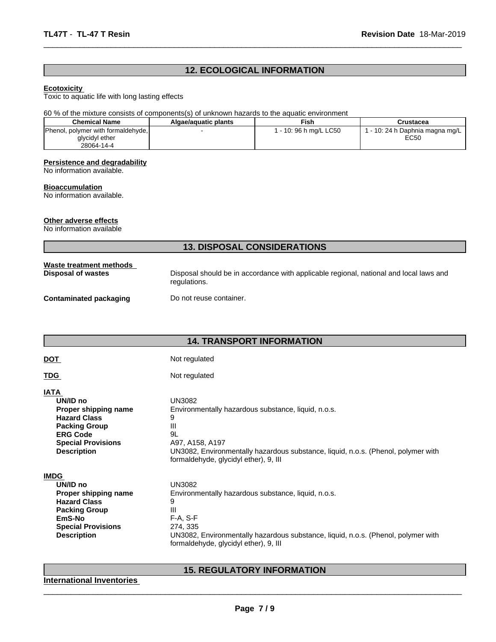# **12. ECOLOGICAL INFORMATION**

 $\overline{\phantom{a}}$  ,  $\overline{\phantom{a}}$  ,  $\overline{\phantom{a}}$  ,  $\overline{\phantom{a}}$  ,  $\overline{\phantom{a}}$  ,  $\overline{\phantom{a}}$  ,  $\overline{\phantom{a}}$  ,  $\overline{\phantom{a}}$  ,  $\overline{\phantom{a}}$  ,  $\overline{\phantom{a}}$  ,  $\overline{\phantom{a}}$  ,  $\overline{\phantom{a}}$  ,  $\overline{\phantom{a}}$  ,  $\overline{\phantom{a}}$  ,  $\overline{\phantom{a}}$  ,  $\overline{\phantom{a}}$ 

#### **Ecotoxicity**

Toxic to aquatic life with long lasting effects

#### 60 % of the mixture consists of components(s) of unknown hazards to the aquatic environment

| <b>Chemical Name</b>               | Algae/aquatic plants | Fish                   | Crustacea                         |
|------------------------------------|----------------------|------------------------|-----------------------------------|
| Phenol, polymer with formaldehyde, |                      | 1 - 10: 96 h mg/L LC50 | r - 10: 24 h Daphnia magna mg/L L |
| glycidyl ether                     |                      |                        | EC50                              |
| 28064-14-4                         |                      |                        |                                   |

#### **Persistence and degradability**

No information available.

#### **Bioaccumulation**

No information available.

#### **Other adverse effects**

No information available

# **13. DISPOSAL CONSIDERATIONS**

| Waste treatment methods<br>Disposal of wastes | Disposal should be in accordance with applicable regional, national and local laws and<br>regulations. |
|-----------------------------------------------|--------------------------------------------------------------------------------------------------------|
| <b>Contaminated packaging</b>                 | Do not reuse container.                                                                                |
|                                               |                                                                                                        |

# **14. TRANSPORT INFORMATION**

| ۰. |  |
|----|--|

# **DOT** Not regulated

# TDG Not regulated

# **IATA**

| <b>***</b>                |                                                                                   |
|---------------------------|-----------------------------------------------------------------------------------|
| UN/ID no                  | UN3082                                                                            |
| Proper shipping name      | Environmentally hazardous substance, liquid, n.o.s.                               |
| <b>Hazard Class</b>       |                                                                                   |
| <b>Packing Group</b>      | Ш                                                                                 |
| <b>ERG Code</b>           | 9L                                                                                |
| <b>Special Provisions</b> | A97, A158, A197                                                                   |
| <b>Description</b>        | UN3082, Environmentally hazardous substance, liquid, n.o.s. (Phenol, polymer with |
|                           | formaldehyde, glycidyl ether), 9, III                                             |

**IMDG** 

| $-$                       |                                                                                   |
|---------------------------|-----------------------------------------------------------------------------------|
| UN/ID no                  | UN3082                                                                            |
| Proper shipping name      | Environmentally hazardous substance, liquid, n.o.s.                               |
| <b>Hazard Class</b>       |                                                                                   |
| <b>Packing Group</b>      | Ш                                                                                 |
| EmS-No                    | $F-A. S-F$                                                                        |
| <b>Special Provisions</b> | 274, 335                                                                          |
| <b>Description</b>        | UN3082, Environmentally hazardous substance, liquid, n.o.s. (Phenol, polymer with |
|                           | formaldehyde, glycidyl ether), 9, III                                             |
|                           |                                                                                   |

# **15. REGULATORY INFORMATION**

 $\overline{\phantom{a}}$  ,  $\overline{\phantom{a}}$  ,  $\overline{\phantom{a}}$  ,  $\overline{\phantom{a}}$  ,  $\overline{\phantom{a}}$  ,  $\overline{\phantom{a}}$  ,  $\overline{\phantom{a}}$  ,  $\overline{\phantom{a}}$  ,  $\overline{\phantom{a}}$  ,  $\overline{\phantom{a}}$  ,  $\overline{\phantom{a}}$  ,  $\overline{\phantom{a}}$  ,  $\overline{\phantom{a}}$  ,  $\overline{\phantom{a}}$  ,  $\overline{\phantom{a}}$  ,  $\overline{\phantom{a}}$ 

**International Inventories**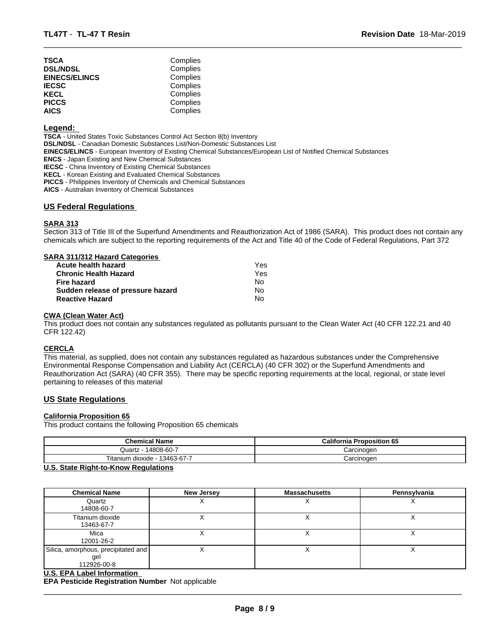| TSCA                 | Complies |  |
|----------------------|----------|--|
| <b>DSL/NDSL</b>      | Complies |  |
| <b>EINECS/ELINCS</b> | Complies |  |
| IECSC                | Complies |  |
| KECL                 | Complies |  |
| PICCS                | Complies |  |
| AICS                 | Complies |  |
|                      |          |  |

#### **Legend:**

**TSCA** - United States Toxic Substances Control Act Section 8(b) Inventory **DSL/NDSL** - Canadian Domestic Substances List/Non-Domestic Substances List **EINECS/ELINCS** - European Inventory of Existing Chemical Substances/European List of Notified Chemical Substances **ENCS** - Japan Existing and New Chemical Substances **IECSC** - China Inventory of Existing Chemical Substances **KECL** - Korean Existing and Evaluated Chemical Substances **PICCS** - Philippines Inventory of Chemicals and Chemical Substances

**AICS** - Australian Inventory of Chemical Substances

#### **US Federal Regulations**

#### **SARA 313**

Section 313 of Title III of the Superfund Amendments and Reauthorization Act of 1986 (SARA). This product does not contain any chemicals which are subject to the reporting requirements of the Act and Title 40 of the Code of Federal Regulations, Part 372

 $\overline{\phantom{a}}$  ,  $\overline{\phantom{a}}$  ,  $\overline{\phantom{a}}$  ,  $\overline{\phantom{a}}$  ,  $\overline{\phantom{a}}$  ,  $\overline{\phantom{a}}$  ,  $\overline{\phantom{a}}$  ,  $\overline{\phantom{a}}$  ,  $\overline{\phantom{a}}$  ,  $\overline{\phantom{a}}$  ,  $\overline{\phantom{a}}$  ,  $\overline{\phantom{a}}$  ,  $\overline{\phantom{a}}$  ,  $\overline{\phantom{a}}$  ,  $\overline{\phantom{a}}$  ,  $\overline{\phantom{a}}$ 

| SARA 311/312 Hazard Categories |  |
|--------------------------------|--|
| المعددهما والمادموا والبروا    |  |

| Acute health hazard               | Yes |  |
|-----------------------------------|-----|--|
| Chronic Health Hazard             | Yes |  |
| Fire hazard                       | No. |  |
| Sudden release of pressure hazard | No. |  |
| <b>Reactive Hazard</b>            | N٥  |  |

#### **CWA (Clean Water Act)**

This product does not contain any substances regulated as pollutants pursuant to the Clean Water Act (40 CFR 122.21 and 40 CFR 122.42)

#### **CERCLA**

This material, as supplied, does not contain any substances regulated as hazardous substances under the Comprehensive Environmental Response Compensation and Liability Act (CERCLA) (40 CFR 302) or the Superfund Amendments and Reauthorization Act (SARA) (40 CFR 355). There may be specific reporting requirements at the local, regional, or state level pertaining to releases of this material

#### **US State Regulations**

#### **California Proposition 65**

This product contains the following Proposition 65 chemicals

| <b>Chemical Name</b>                              | <b>California Proposition 65</b> |
|---------------------------------------------------|----------------------------------|
| 14808-60-7<br>Quartz                              | Carcinogen                       |
| Titanium<br>$\cdots$<br>13463-67-7<br>ı dioxide - | Carcinogen                       |

#### **U.S. State Right-to-Know Regulations**

| <b>Chemical Name</b>                                      | <b>New Jersey</b> | <b>Massachusetts</b> | Pennsylvania |
|-----------------------------------------------------------|-------------------|----------------------|--------------|
| Quartz<br>14808-60-7                                      |                   |                      |              |
| Titanium dioxide<br>13463-67-7                            |                   |                      | ⌒            |
| Mica<br>12001-26-2                                        |                   |                      |              |
| Silica, amorphous, precipitated and<br>gel<br>112926-00-8 |                   |                      |              |
| <b>U.S. EPA Label Information</b>                         |                   |                      |              |

**EPA Pesticide Registration Number** Not applicable